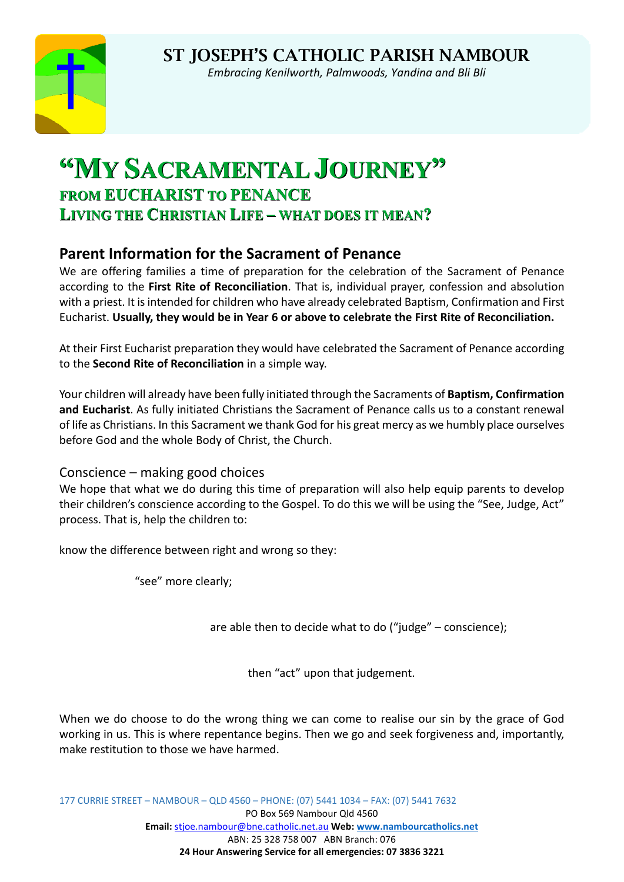

*Embracing Kenilworth, Palmwoods, Yandina and Bli Bli*

# **"MY SACRAMENTAL JOURNEY" FROM EUCHARIST TO PENANCE LIVING THE CHRISTIAN LIFE – WHAT DOES IT MEAN?**

## **Parent Information for the Sacrament of Penance**

We are offering families a time of preparation for the celebration of the Sacrament of Penance according to the **First Rite of Reconciliation**. That is, individual prayer, confession and absolution with a priest. It is intended for children who have already celebrated Baptism, Confirmation and First Eucharist. **Usually, they would be in Year 6 or above to celebrate the First Rite of Reconciliation.**

At their First Eucharist preparation they would have celebrated the Sacrament of Penance according to the **Second Rite of Reconciliation** in a simple way.

Your children will already have been fully initiated through the Sacraments of **Baptism, Confirmation and Eucharist**. As fully initiated Christians the Sacrament of Penance calls us to a constant renewal of life as Christians. In this Sacrament we thank God for his great mercy as we humbly place ourselves before God and the whole Body of Christ, the Church.

Conscience – making good choices

We hope that what we do during this time of preparation will also help equip parents to develop their children's conscience according to the Gospel. To do this we will be using the "See, Judge, Act" process. That is, help the children to:

know the difference between right and wrong so they:

"see" more clearly;

are able then to decide what to do ("judge" – conscience);

then "act" upon that judgement.

When we do choose to do the wrong thing we can come to realise our sin by the grace of God working in us. This is where repentance begins. Then we go and seek forgiveness and, importantly, make restitution to those we have harmed.

177 CURRIE STREET – NAMBOUR – QLD 4560 – PHONE: (07) 5441 1034 – FAX: (07) 5441 7632 PO Box 569 Nambour Qld 4560 **Email:** stjoe.nambour@bne.catholic.net.au **Web[: www.nambourcatholics.net](http://www.nambourcatholics.net/)** ABN: 25 328 758 007 ABN Branch: 076 **24 Hour Answering Service for all emergencies: 07 3836 3221**